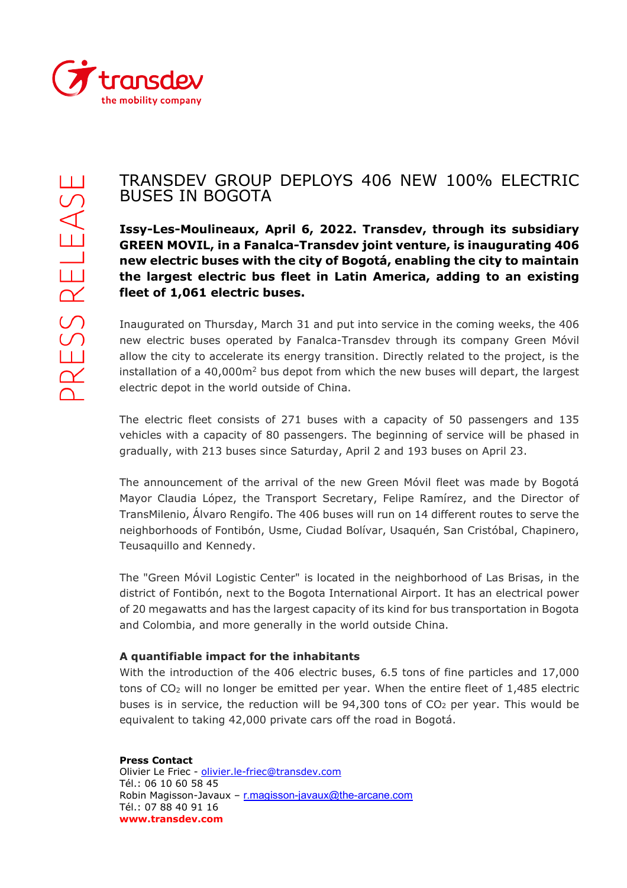

## TRANSDEV GROUP DEPLOYS 406 NEW 100% ELECTRIC BUSES IN BOGOTA

**Issy-Les-Moulineaux, April 6, 2022. Transdev, through its subsidiary GREEN MOVIL, in a Fanalca-Transdev joint venture, is inaugurating 406 new electric buses with the city of Bogotá, enabling the city to maintain the largest electric bus fleet in Latin America, adding to an existing fleet of 1,061 electric buses.**

Inaugurated on Thursday, March 31 and put into service in the coming weeks, the 406 new electric buses operated by Fanalca-Transdev through its company Green Móvil allow the city to accelerate its energy transition. Directly related to the project, is the installation of a  $40,000m^2$  bus depot from which the new buses will depart, the largest electric depot in the world outside of China.

The electric fleet consists of 271 buses with a capacity of 50 passengers and 135 vehicles with a capacity of 80 passengers. The beginning of service will be phased in gradually, with 213 buses since Saturday, April 2 and 193 buses on April 23.

The announcement of the arrival of the new Green Móvil fleet was made by Bogotá Mayor Claudia López, the Transport Secretary, Felipe Ramírez, and the Director of TransMilenio, Álvaro Rengifo. The 406 buses will run on 14 different routes to serve the neighborhoods of Fontibón, Usme, Ciudad Bolívar, Usaquén, San Cristóbal, Chapinero, Teusaquillo and Kennedy.

The "Green Móvil Logistic Center" is located in the neighborhood of Las Brisas, in the district of Fontibón, next to the Bogota International Airport. It has an electrical power of 20 megawatts and has the largest capacity of its kind for bus transportation in Bogota and Colombia, and more generally in the world outside China.

## **A quantifiable impact for the inhabitants**

With the introduction of the 406 electric buses, 6.5 tons of fine particles and 17,000 tons of CO2 will no longer be emitted per year. When the entire fleet of 1,485 electric buses is in service, the reduction will be  $94,300$  tons of  $CO<sub>2</sub>$  per year. This would be equivalent to taking 42,000 private cars off the road in Bogotá.

**Press Contact**  Olivier Le Friec - [olivier.le-friec@transdev.com](mailto:olivier.le-friec@transdev.com) Tél.: 06 10 60 58 45 Robin Magisson-Javaux – r.magisson-javaux@the-arcane.com Tél.: 07 88 40 91 16 **www.transdev.com**